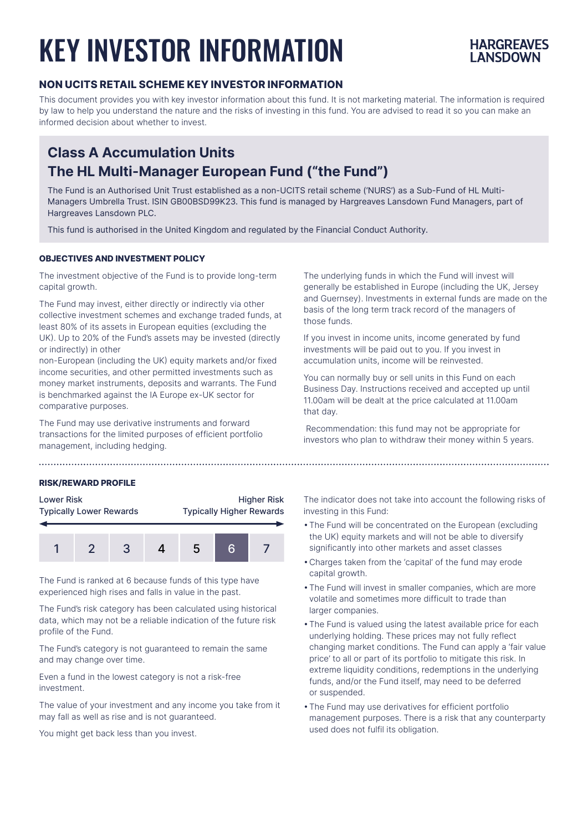# KEY INVESTOR INFORMATION



### **NON UCITS RETAIL SCHEME KEY INVESTOR INFORMATION**

This document provides you with key investor information about this fund. It is not marketing material. The information is required by law to help you understand the nature and the risks of investing in this fund. You are advised to read it so you can make an informed decision about whether to invest.

## **Class A Accumulation Units The HL Multi-Manager European Fund ("the Fund")**

The Fund is an Authorised Unit Trust established as a non-UCITS retail scheme ('NURS') as a Sub-Fund of HL Multi-Managers Umbrella Trust. ISIN GB00BSD99K23. This fund is managed by Hargreaves Lansdown Fund Managers, part of Hargreaves Lansdown PLC.

This fund is authorised in the United Kingdom and regulated by the Financial Conduct Authority.

#### **OBJECTIVES AND INVESTMENT POLICY**

The investment objective of the Fund is to provide long-term capital growth.

The Fund may invest, either directly or indirectly via other collective investment schemes and exchange traded funds, at least 80% of its assets in European equities (excluding the UK). Up to 20% of the Fund's assets may be invested (directly or indirectly) in other

non-European (including the UK) equity markets and/or fixed income securities, and other permitted investments such as money market instruments, deposits and warrants. The Fund is benchmarked against the IA Europe ex-UK sector for comparative purposes.

The Fund may use derivative instruments and forward transactions for the limited purposes of efficient portfolio management, including hedging.

#### **RISK/REWARD PROFILE**



The Fund is ranked at 6 because funds of this type have experienced high rises and falls in value in the past.

The Fund's risk category has been calculated using historical data, which may not be a reliable indication of the future risk profile of the Fund.

The Fund's category is not guaranteed to remain the same and may change over time.

Even a fund in the lowest category is not a risk-free investment.

The value of your investment and any income you take from it may fall as well as rise and is not guaranteed.

You might get back less than you invest.

The underlying funds in which the Fund will invest will generally be established in Europe (including the UK, Jersey and Guernsey). Investments in external funds are made on the basis of the long term track record of the managers of those funds.

If you invest in income units, income generated by fund investments will be paid out to you. If you invest in accumulation units, income will be reinvested.

You can normally buy or sell units in this Fund on each Business Day. Instructions received and accepted up until 11.00am will be dealt at the price calculated at 11.00am that day.

 Recommendation: this fund may not be appropriate for investors who plan to withdraw their money within 5 years.

The indicator does not take into account the following risks of investing in this Fund:

- •The Fund will be concentrated on the European (excluding the UK) equity markets and will not be able to diversify significantly into other markets and asset classes
- •Charges taken from the 'capital' of the fund may erode capital growth.
- •The Fund will invest in smaller companies, which are more volatile and sometimes more difficult to trade than larger companies.
- •The Fund is valued using the latest available price for each underlying holding. These prices may not fully reflect changing market conditions. The Fund can apply a 'fair value price' to all or part of its portfolio to mitigate this risk. In extreme liquidity conditions, redemptions in the underlying funds, and/or the Fund itself, may need to be deferred or suspended.
- •The Fund may use derivatives for efficient portfolio management purposes. There is a risk that any counterparty used does not fulfil its obligation.